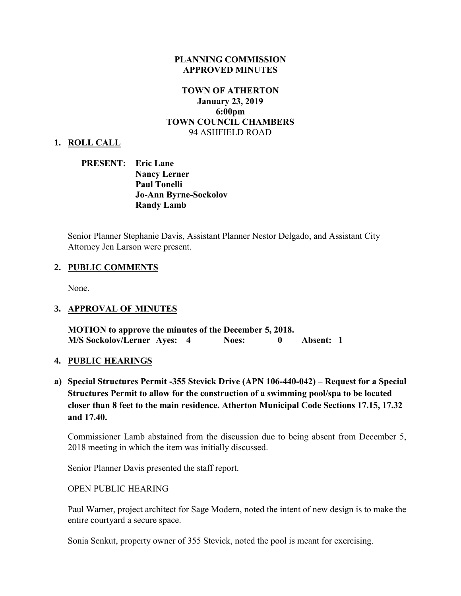## **PLANNING COMMISSION APPROVED MINUTES**

## **TOWN OF ATHERTON January 23, 2019 6:00pm TOWN COUNCIL CHAMBERS** 94 ASHFIELD ROAD

### **1. ROLL CALL**

**PRESENT: Eric Lane Nancy Lerner Paul Tonelli Jo-Ann Byrne-Sockolov Randy Lamb**

Senior Planner Stephanie Davis, Assistant Planner Nestor Delgado, and Assistant City Attorney Jen Larson were present.

## **2. PUBLIC COMMENTS**

None.

#### **3. APPROVAL OF MINUTES**

**MOTION to approve the minutes of the December 5, 2018. M/S Sockolov/Lerner Ayes: 4 Noes: 0 Absent: 1** 

#### **4. PUBLIC HEARINGS**

**a) Special Structures Permit -355 Stevick Drive (APN 106-440-042) – Request for a Special Structures Permit to allow for the construction of a swimming pool/spa to be located closer than 8 feet to the main residence. Atherton Municipal Code Sections 17.15, 17.32 and 17.40.** 

Commissioner Lamb abstained from the discussion due to being absent from December 5, 2018 meeting in which the item was initially discussed.

Senior Planner Davis presented the staff report.

### OPEN PUBLIC HEARING

Paul Warner, project architect for Sage Modern, noted the intent of new design is to make the entire courtyard a secure space.

Sonia Senkut, property owner of 355 Stevick, noted the pool is meant for exercising.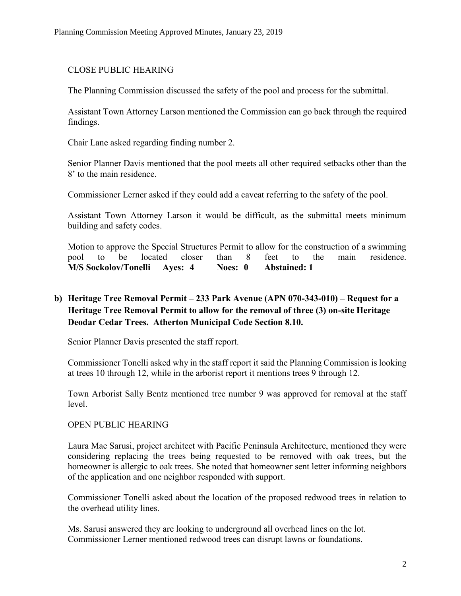# CLOSE PUBLIC HEARING

The Planning Commission discussed the safety of the pool and process for the submittal.

Assistant Town Attorney Larson mentioned the Commission can go back through the required findings.

Chair Lane asked regarding finding number 2.

Senior Planner Davis mentioned that the pool meets all other required setbacks other than the 8' to the main residence.

Commissioner Lerner asked if they could add a caveat referring to the safety of the pool.

Assistant Town Attorney Larson it would be difficult, as the submittal meets minimum building and safety codes.

Motion to approve the Special Structures Permit to allow for the construction of a swimming pool to be located closer than 8 feet to the main residence. **M/S Sockolov/Tonelli Ayes: 4 Noes: 0 Abstained: 1** 

# **b) Heritage Tree Removal Permit – 233 Park Avenue (APN 070-343-010) – Request for a Heritage Tree Removal Permit to allow for the removal of three (3) on-site Heritage Deodar Cedar Trees. Atherton Municipal Code Section 8.10.**

Senior Planner Davis presented the staff report.

Commissioner Tonelli asked why in the staff report it said the Planning Commission is looking at trees 10 through 12, while in the arborist report it mentions trees 9 through 12.

Town Arborist Sally Bentz mentioned tree number 9 was approved for removal at the staff level.

# OPEN PUBLIC HEARING

Laura Mae Sarusi, project architect with Pacific Peninsula Architecture, mentioned they were considering replacing the trees being requested to be removed with oak trees, but the homeowner is allergic to oak trees. She noted that homeowner sent letter informing neighbors of the application and one neighbor responded with support.

Commissioner Tonelli asked about the location of the proposed redwood trees in relation to the overhead utility lines.

Ms. Sarusi answered they are looking to underground all overhead lines on the lot. Commissioner Lerner mentioned redwood trees can disrupt lawns or foundations.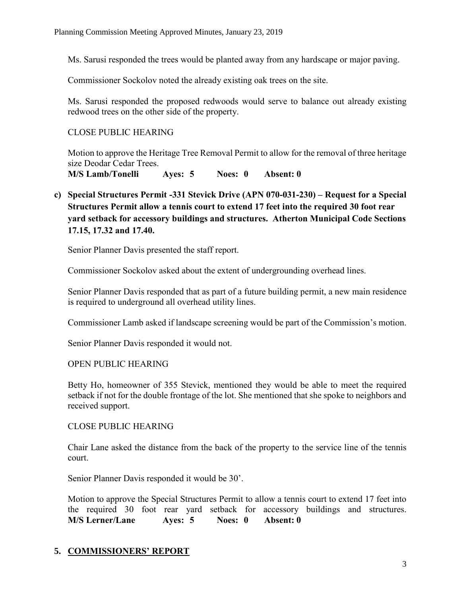Ms. Sarusi responded the trees would be planted away from any hardscape or major paving.

Commissioner Sockolov noted the already existing oak trees on the site.

Ms. Sarusi responded the proposed redwoods would serve to balance out already existing redwood trees on the other side of the property.

CLOSE PUBLIC HEARING

Motion to approve the Heritage Tree Removal Permit to allow for the removal of three heritage size Deodar Cedar Trees.

**M/S Lamb/Tonelli Ayes: 5 Noes: 0 Absent: 0** 

**c) Special Structures Permit -331 Stevick Drive (APN 070-031-230) – Request for a Special Structures Permit allow a tennis court to extend 17 feet into the required 30 foot rear yard setback for accessory buildings and structures. Atherton Municipal Code Sections 17.15, 17.32 and 17.40.** 

Senior Planner Davis presented the staff report.

Commissioner Sockolov asked about the extent of undergrounding overhead lines.

Senior Planner Davis responded that as part of a future building permit, a new main residence is required to underground all overhead utility lines.

Commissioner Lamb asked if landscape screening would be part of the Commission's motion.

Senior Planner Davis responded it would not.

## OPEN PUBLIC HEARING

Betty Ho, homeowner of 355 Stevick, mentioned they would be able to meet the required setback if not for the double frontage of the lot. She mentioned that she spoke to neighbors and received support.

## CLOSE PUBLIC HEARING

Chair Lane asked the distance from the back of the property to the service line of the tennis court.

Senior Planner Davis responded it would be 30'.

Motion to approve the Special Structures Permit to allow a tennis court to extend 17 feet into the required 30 foot rear yard setback for accessory buildings and structures. **M/S Lerner/Lane Ayes: 5 Noes: 0 Absent: 0** 

# **5. COMMISSIONERS' REPORT**